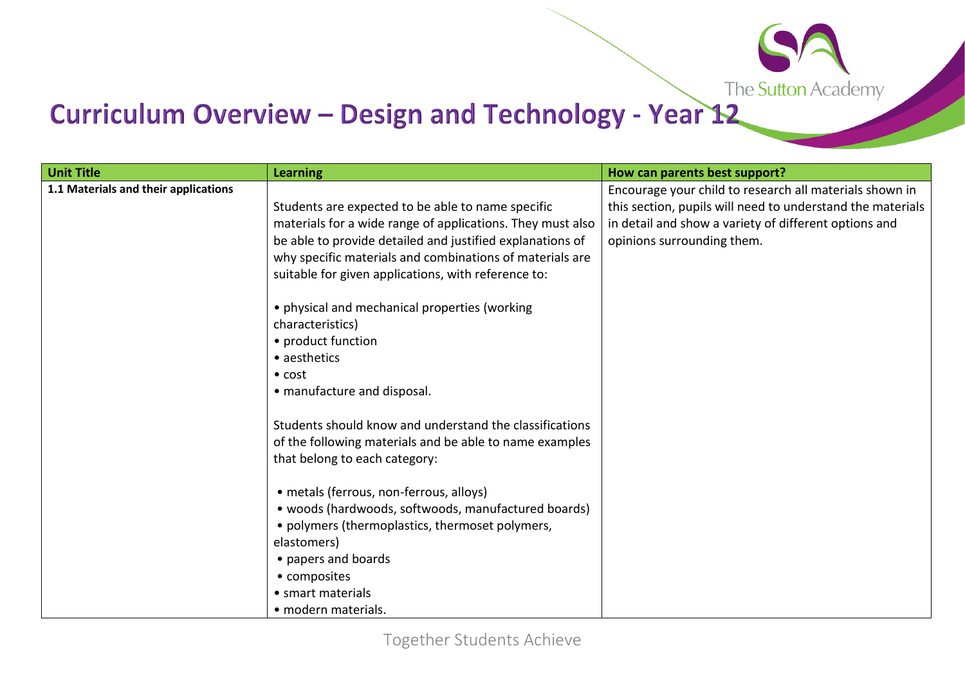

## Curriculum Overview - Design and Technology - Year 12

| <b>Unit Title</b>                    | <b>Learning</b>                                            | How can parents best support?                              |
|--------------------------------------|------------------------------------------------------------|------------------------------------------------------------|
| 1.1 Materials and their applications |                                                            | Encourage your child to research all materials shown in    |
|                                      | Students are expected to be able to name specific          | this section, pupils will need to understand the materials |
|                                      | materials for a wide range of applications. They must also | in detail and show a variety of different options and      |
|                                      | be able to provide detailed and justified explanations of  | opinions surrounding them.                                 |
|                                      | why specific materials and combinations of materials are   |                                                            |
|                                      | suitable for given applications, with reference to:        |                                                            |
|                                      | • physical and mechanical properties (working              |                                                            |
|                                      | characteristics)                                           |                                                            |
|                                      | • product function                                         |                                                            |
|                                      | • aesthetics                                               |                                                            |
|                                      | $\bullet$ cost                                             |                                                            |
|                                      | • manufacture and disposal.                                |                                                            |
|                                      | Students should know and understand the classifications    |                                                            |
|                                      | of the following materials and be able to name examples    |                                                            |
|                                      | that belong to each category:                              |                                                            |
|                                      | · metals (ferrous, non-ferrous, alloys)                    |                                                            |
|                                      | · woods (hardwoods, softwoods, manufactured boards)        |                                                            |
|                                      | • polymers (thermoplastics, thermoset polymers,            |                                                            |
|                                      | elastomers)                                                |                                                            |
|                                      | • papers and boards                                        |                                                            |
|                                      | • composites                                               |                                                            |
|                                      | • smart materials                                          |                                                            |
|                                      | · modern materials.                                        |                                                            |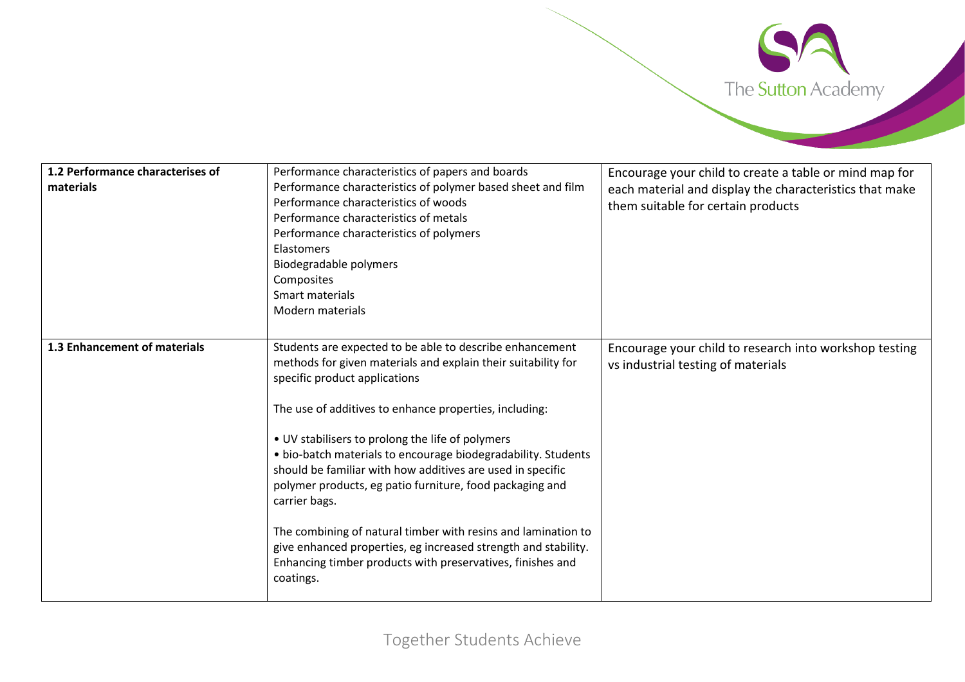

| 1.2 Performance characterises of<br>materials | Performance characteristics of papers and boards<br>Performance characteristics of polymer based sheet and film<br>Performance characteristics of woods<br>Performance characteristics of metals<br>Performance characteristics of polymers<br>Elastomers<br>Biodegradable polymers<br>Composites<br>Smart materials<br>Modern materials                                                                                                                                                                                                                                                                                                                                                           | Encourage your child to create a table or mind map for<br>each material and display the characteristics that make<br>them suitable for certain products |
|-----------------------------------------------|----------------------------------------------------------------------------------------------------------------------------------------------------------------------------------------------------------------------------------------------------------------------------------------------------------------------------------------------------------------------------------------------------------------------------------------------------------------------------------------------------------------------------------------------------------------------------------------------------------------------------------------------------------------------------------------------------|---------------------------------------------------------------------------------------------------------------------------------------------------------|
| 1.3 Enhancement of materials                  | Students are expected to be able to describe enhancement<br>methods for given materials and explain their suitability for<br>specific product applications<br>The use of additives to enhance properties, including:<br>• UV stabilisers to prolong the life of polymers<br>· bio-batch materials to encourage biodegradability. Students<br>should be familiar with how additives are used in specific<br>polymer products, eg patio furniture, food packaging and<br>carrier bags.<br>The combining of natural timber with resins and lamination to<br>give enhanced properties, eg increased strength and stability.<br>Enhancing timber products with preservatives, finishes and<br>coatings. | Encourage your child to research into workshop testing<br>vs industrial testing of materials                                                            |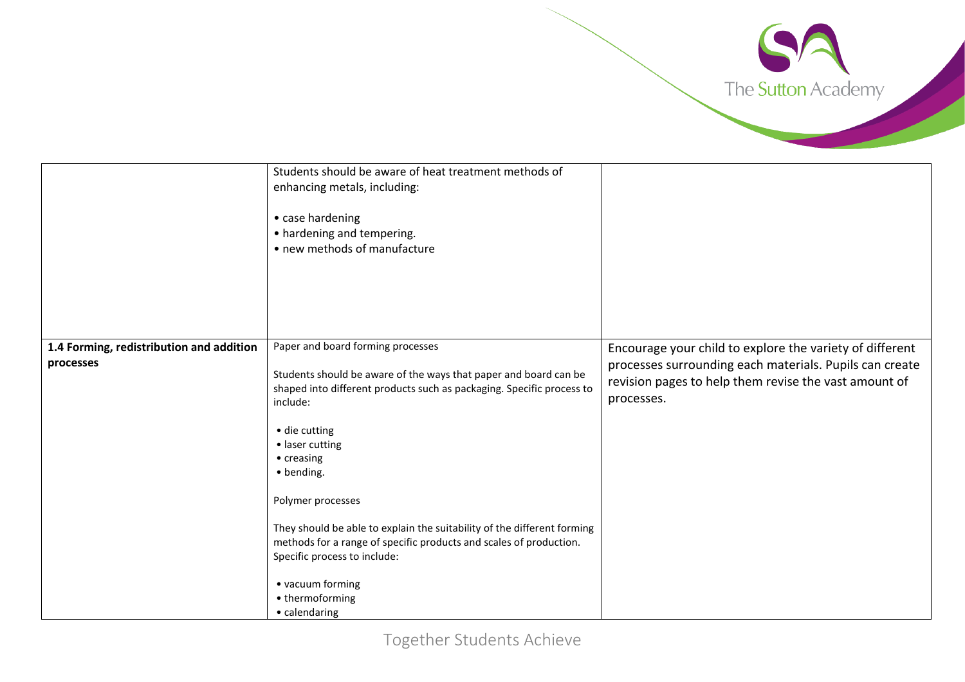

|                                                       | Students should be aware of heat treatment methods of<br>enhancing metals, including:<br>• case hardening<br>• hardening and tempering.<br>• new methods of manufacture                            |                                                                                                                                                                                            |
|-------------------------------------------------------|----------------------------------------------------------------------------------------------------------------------------------------------------------------------------------------------------|--------------------------------------------------------------------------------------------------------------------------------------------------------------------------------------------|
|                                                       |                                                                                                                                                                                                    |                                                                                                                                                                                            |
| 1.4 Forming, redistribution and addition<br>processes | Paper and board forming processes<br>Students should be aware of the ways that paper and board can be<br>shaped into different products such as packaging. Specific process to<br>include:         | Encourage your child to explore the variety of different<br>processes surrounding each materials. Pupils can create<br>revision pages to help them revise the vast amount of<br>processes. |
|                                                       | • die cutting<br>• laser cutting<br>• creasing<br>• bending.                                                                                                                                       |                                                                                                                                                                                            |
|                                                       | Polymer processes<br>They should be able to explain the suitability of the different forming<br>methods for a range of specific products and scales of production.<br>Specific process to include: |                                                                                                                                                                                            |
|                                                       | • vacuum forming<br>• thermoforming<br>• calendaring                                                                                                                                               |                                                                                                                                                                                            |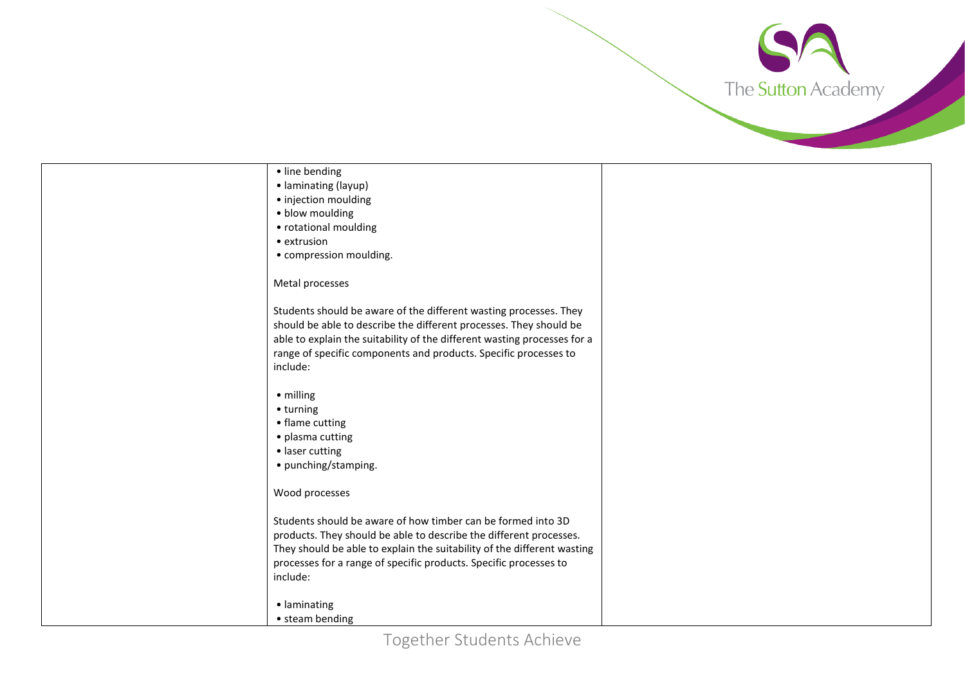

Together Students Achieve • line bending • laminating (layup) • injection moulding • blow moulding • rotational moulding • extrusion • compression moulding. Metal processes Students should be aware of the different wasting processes. They should be able to describe the different processes. They should be able to explain the suitability of the different wasting processes for a range of specific components and products. Specific processes to include: • milling • turning • flame cutting • plasma cutting • laser cutting • punching/stamping. Wood processes Students should be aware of how timber can be formed into 3D products. They should be able to describe the different processes. They should be able to explain the suitability of the different wasting processes for a range of specific products. Specific processes to include: • laminating • steam bending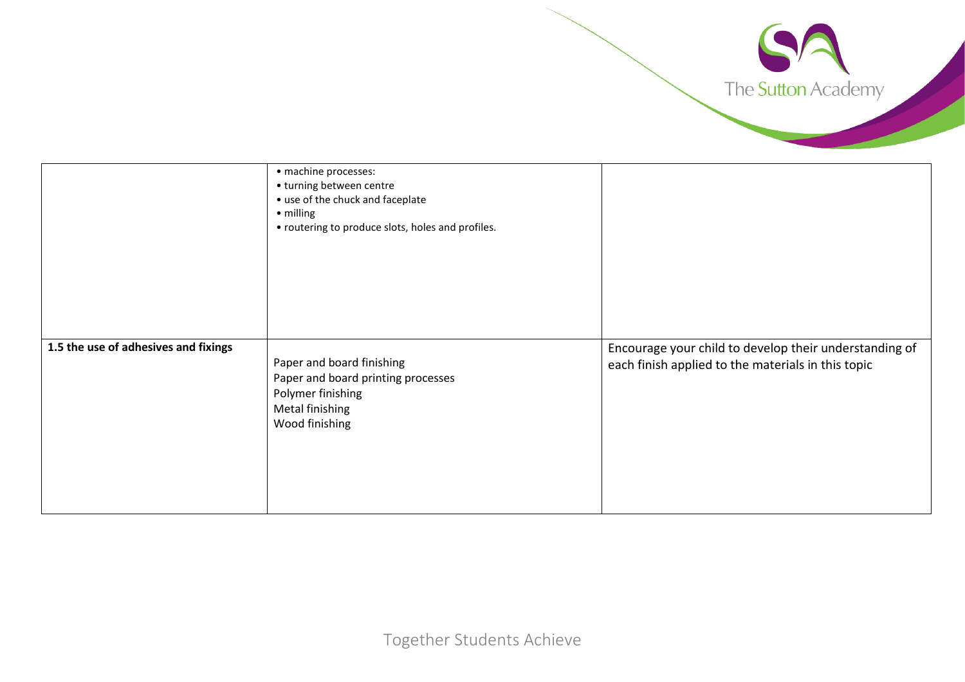

|                                      | · machine processes:<br>• turning between centre<br>• use of the chuck and faceplate<br>• milling<br>• routering to produce slots, holes and profiles. |                                                                                                              |
|--------------------------------------|--------------------------------------------------------------------------------------------------------------------------------------------------------|--------------------------------------------------------------------------------------------------------------|
| 1.5 the use of adhesives and fixings | Paper and board finishing<br>Paper and board printing processes<br>Polymer finishing<br><b>Metal finishing</b><br>Wood finishing                       | Encourage your child to develop their understanding of<br>each finish applied to the materials in this topic |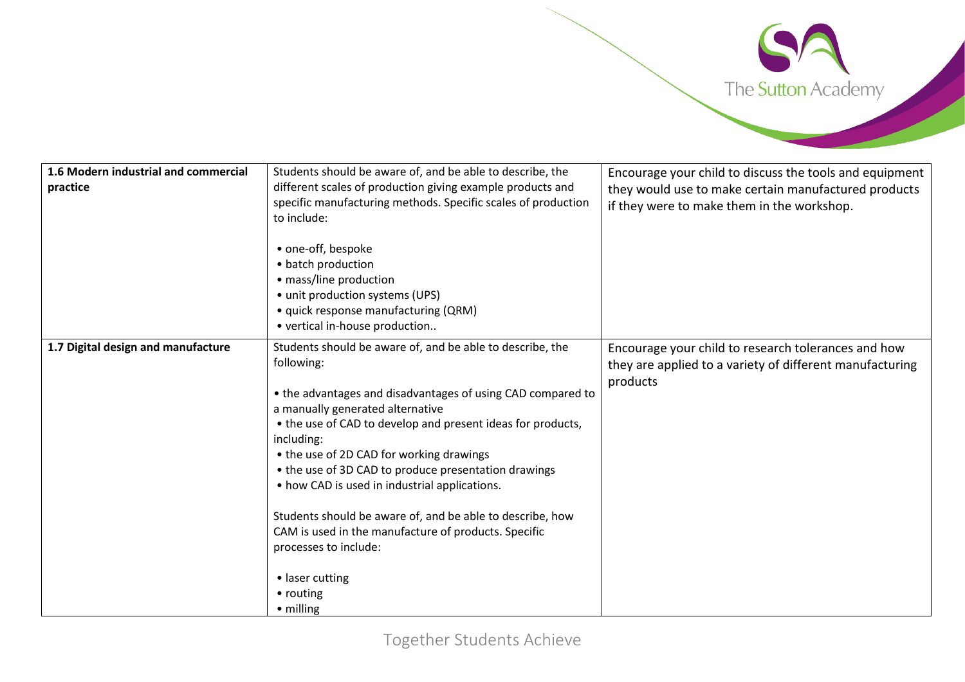

| 1.6 Modern industrial and commercial<br>practice | Students should be aware of, and be able to describe, the<br>different scales of production giving example products and<br>specific manufacturing methods. Specific scales of production<br>to include:<br>• one-off, bespoke<br>• batch production<br>· mass/line production<br>• unit production systems (UPS)<br>• quick response manufacturing (QRM)<br>• vertical in-house production                                                                                                                                                                                                                      | Encourage your child to discuss the tools and equipment<br>they would use to make certain manufactured products<br>if they were to make them in the workshop. |
|--------------------------------------------------|-----------------------------------------------------------------------------------------------------------------------------------------------------------------------------------------------------------------------------------------------------------------------------------------------------------------------------------------------------------------------------------------------------------------------------------------------------------------------------------------------------------------------------------------------------------------------------------------------------------------|---------------------------------------------------------------------------------------------------------------------------------------------------------------|
| 1.7 Digital design and manufacture               | Students should be aware of, and be able to describe, the<br>following:<br>• the advantages and disadvantages of using CAD compared to<br>a manually generated alternative<br>• the use of CAD to develop and present ideas for products,<br>including:<br>• the use of 2D CAD for working drawings<br>• the use of 3D CAD to produce presentation drawings<br>• how CAD is used in industrial applications.<br>Students should be aware of, and be able to describe, how<br>CAM is used in the manufacture of products. Specific<br>processes to include:<br>• laser cutting<br>• routing<br>$\bullet$ milling | Encourage your child to research tolerances and how<br>they are applied to a variety of different manufacturing<br>products                                   |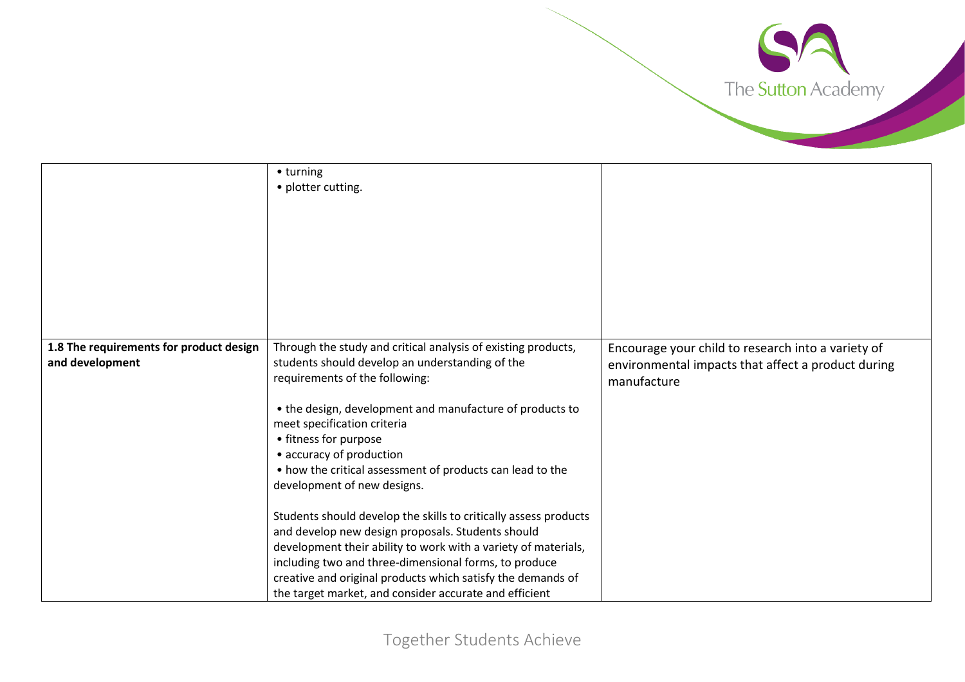

|                                                            | • turning<br>• plotter cutting.                                                                                                                                                                                                                                                                                                                                                                                                                                                                                                                                                                                                                                                                                                                                             |                                                                                                                         |
|------------------------------------------------------------|-----------------------------------------------------------------------------------------------------------------------------------------------------------------------------------------------------------------------------------------------------------------------------------------------------------------------------------------------------------------------------------------------------------------------------------------------------------------------------------------------------------------------------------------------------------------------------------------------------------------------------------------------------------------------------------------------------------------------------------------------------------------------------|-------------------------------------------------------------------------------------------------------------------------|
| 1.8 The requirements for product design<br>and development | Through the study and critical analysis of existing products,<br>students should develop an understanding of the<br>requirements of the following:<br>• the design, development and manufacture of products to<br>meet specification criteria<br>• fitness for purpose<br>• accuracy of production<br>• how the critical assessment of products can lead to the<br>development of new designs.<br>Students should develop the skills to critically assess products<br>and develop new design proposals. Students should<br>development their ability to work with a variety of materials,<br>including two and three-dimensional forms, to produce<br>creative and original products which satisfy the demands of<br>the target market, and consider accurate and efficient | Encourage your child to research into a variety of<br>environmental impacts that affect a product during<br>manufacture |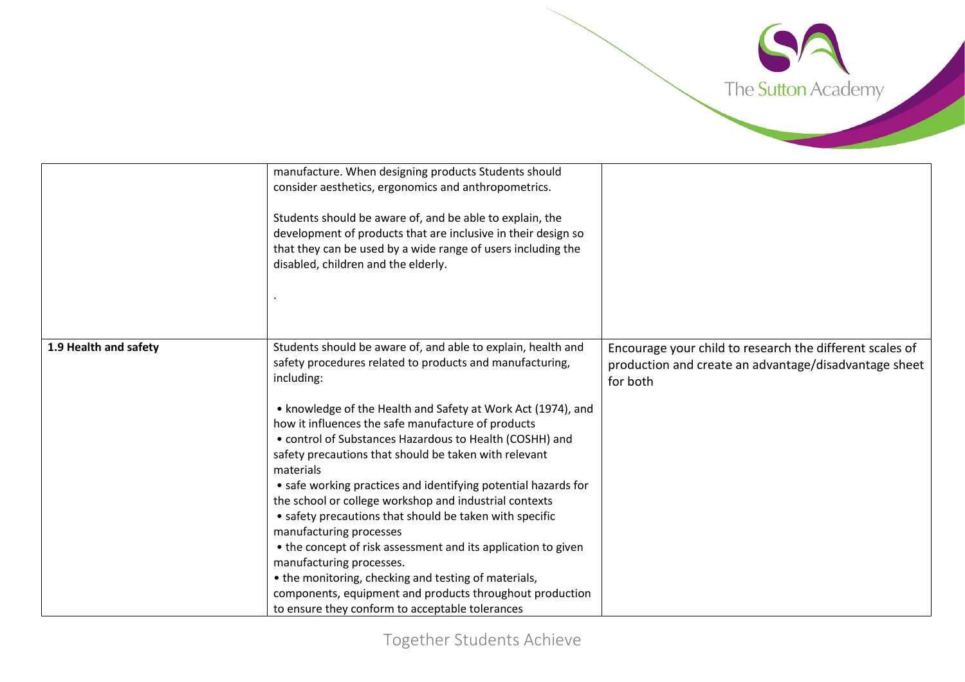

|                       | manufacture. When designing products Students should<br>consider aesthetics, ergonomics and anthropometrics.<br>Students should be aware of, and be able to explain, the<br>development of products that are inclusive in their design so<br>that they can be used by a wide range of users including the<br>disabled, children and the elderly.                                                                                                                                                                                                                                                                                                                                                                                                                                                                                                                                    |                                                                                                                               |
|-----------------------|-------------------------------------------------------------------------------------------------------------------------------------------------------------------------------------------------------------------------------------------------------------------------------------------------------------------------------------------------------------------------------------------------------------------------------------------------------------------------------------------------------------------------------------------------------------------------------------------------------------------------------------------------------------------------------------------------------------------------------------------------------------------------------------------------------------------------------------------------------------------------------------|-------------------------------------------------------------------------------------------------------------------------------|
| 1.9 Health and safety | Students should be aware of, and able to explain, health and<br>safety procedures related to products and manufacturing,<br>including:<br>• knowledge of the Health and Safety at Work Act (1974), and<br>how it influences the safe manufacture of products<br>• control of Substances Hazardous to Health (COSHH) and<br>safety precautions that should be taken with relevant<br>materials<br>• safe working practices and identifying potential hazards for<br>the school or college workshop and industrial contexts<br>• safety precautions that should be taken with specific<br>manufacturing processes<br>• the concept of risk assessment and its application to given<br>manufacturing processes.<br>• the monitoring, checking and testing of materials,<br>components, equipment and products throughout production<br>to ensure they conform to acceptable tolerances | Encourage your child to research the different scales of<br>production and create an advantage/disadvantage sheet<br>for both |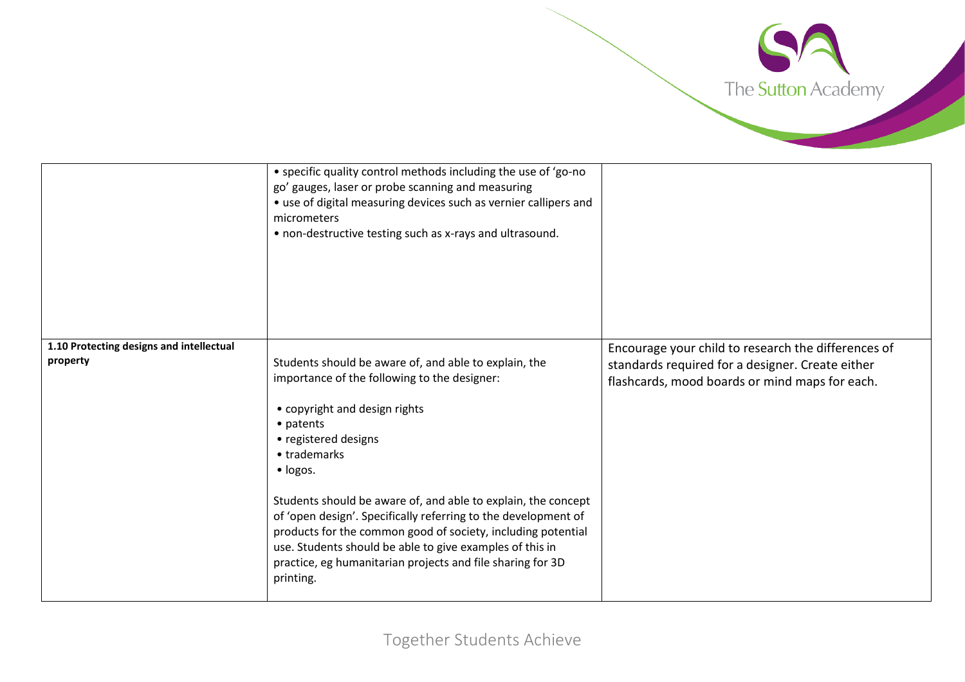

|                                                      | • specific quality control methods including the use of 'go-no<br>go' gauges, laser or probe scanning and measuring<br>• use of digital measuring devices such as vernier callipers and<br>micrometers<br>• non-destructive testing such as x-rays and ultrasound. |                                                                                                    |
|------------------------------------------------------|--------------------------------------------------------------------------------------------------------------------------------------------------------------------------------------------------------------------------------------------------------------------|----------------------------------------------------------------------------------------------------|
| 1.10 Protecting designs and intellectual<br>property |                                                                                                                                                                                                                                                                    | Encourage your child to research the differences of                                                |
|                                                      | Students should be aware of, and able to explain, the<br>importance of the following to the designer:                                                                                                                                                              | standards required for a designer. Create either<br>flashcards, mood boards or mind maps for each. |
|                                                      |                                                                                                                                                                                                                                                                    |                                                                                                    |
|                                                      | • copyright and design rights                                                                                                                                                                                                                                      |                                                                                                    |
|                                                      | • patents                                                                                                                                                                                                                                                          |                                                                                                    |
|                                                      | • registered designs                                                                                                                                                                                                                                               |                                                                                                    |
|                                                      | • trademarks                                                                                                                                                                                                                                                       |                                                                                                    |
|                                                      | · logos.                                                                                                                                                                                                                                                           |                                                                                                    |
|                                                      | Students should be aware of, and able to explain, the concept                                                                                                                                                                                                      |                                                                                                    |
|                                                      | of 'open design'. Specifically referring to the development of                                                                                                                                                                                                     |                                                                                                    |
|                                                      | products for the common good of society, including potential                                                                                                                                                                                                       |                                                                                                    |
|                                                      | use. Students should be able to give examples of this in                                                                                                                                                                                                           |                                                                                                    |
|                                                      | practice, eg humanitarian projects and file sharing for 3D                                                                                                                                                                                                         |                                                                                                    |
|                                                      | printing.                                                                                                                                                                                                                                                          |                                                                                                    |
|                                                      |                                                                                                                                                                                                                                                                    |                                                                                                    |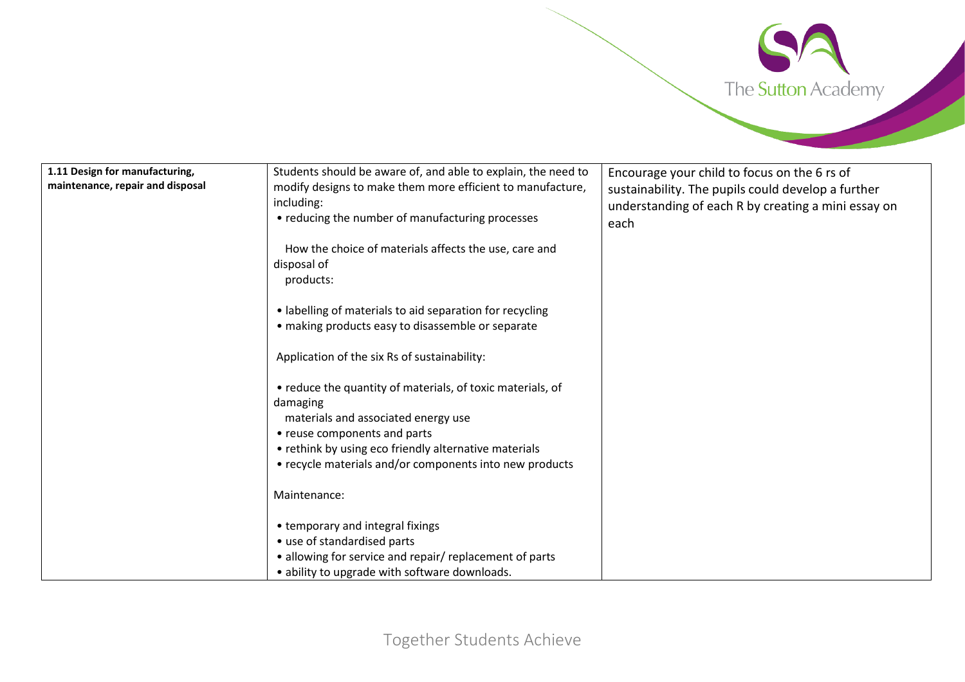

| 1.11 Design for manufacturing,   | Students should be aware of, and able to explain, the need to | Encourage your child to focus on the 6 rs of        |
|----------------------------------|---------------------------------------------------------------|-----------------------------------------------------|
| maintenance, repair and disposal | modify designs to make them more efficient to manufacture,    | sustainability. The pupils could develop a further  |
|                                  | including:                                                    | understanding of each R by creating a mini essay on |
|                                  | • reducing the number of manufacturing processes              | each                                                |
|                                  |                                                               |                                                     |
|                                  | How the choice of materials affects the use, care and         |                                                     |
|                                  | disposal of                                                   |                                                     |
|                                  | products:                                                     |                                                     |
|                                  |                                                               |                                                     |
|                                  | • labelling of materials to aid separation for recycling      |                                                     |
|                                  | · making products easy to disassemble or separate             |                                                     |
|                                  |                                                               |                                                     |
|                                  | Application of the six Rs of sustainability:                  |                                                     |
|                                  |                                                               |                                                     |
|                                  | • reduce the quantity of materials, of toxic materials, of    |                                                     |
|                                  | damaging                                                      |                                                     |
|                                  | materials and associated energy use                           |                                                     |
|                                  | • reuse components and parts                                  |                                                     |
|                                  |                                                               |                                                     |
|                                  | • rethink by using eco friendly alternative materials         |                                                     |
|                                  | • recycle materials and/or components into new products       |                                                     |
|                                  |                                                               |                                                     |
|                                  | Maintenance:                                                  |                                                     |
|                                  |                                                               |                                                     |
|                                  | • temporary and integral fixings                              |                                                     |
|                                  | • use of standardised parts                                   |                                                     |
|                                  | • allowing for service and repair/ replacement of parts       |                                                     |
|                                  | • ability to upgrade with software downloads.                 |                                                     |